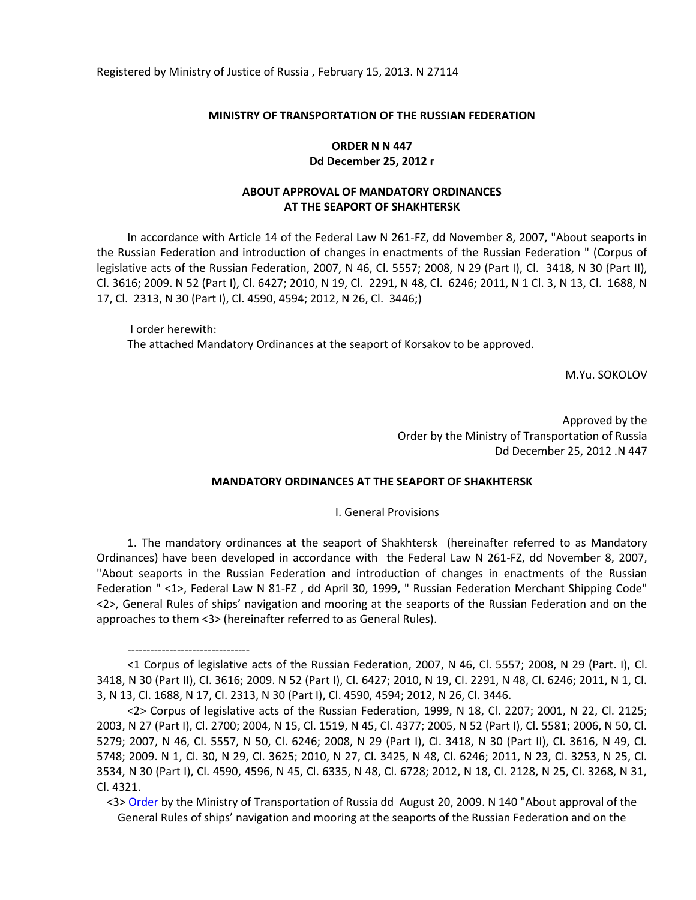Registered by Ministry of Justice of Russia , February 15, 2013. N 27114

#### **MINISTRY OF TRANSPORTATION OF THE RUSSIAN FEDERATION**

## **ORDER N N 447 Dd December 25, 2012 г**

## **ABOUT APPROVAL OF MANDATORY ORDINANCES AT THE SEAPORT OF SHAKHTERSK**

In accordance with Article 14 of the Federal Law N 261-FZ, dd November 8, 2007, "About seaports in the Russian Federation and introduction of changes in enactments of the Russian Federation " (Corpus of legislative acts of the Russian Federation, 2007, N 46, Cl. 5557; 2008, N 29 (Part I), Cl. 3418, N 30 (Part II), Cl. 3616; 2009. N 52 (Part I), Cl. 6427; 2010, N 19, Cl. 2291, N 48, Cl. 6246; 2011, N 1 Cl. 3, N 13, Cl. 1688, N 17, Cl. 2313, N 30 (Part I), Cl. 4590, 4594; 2012, N 26, Cl. 3446;)

I order herewith: The attached Mandatory Ordinances at the seaport of Korsakov to be approved.

M.Yu. SOKOLOV

Approved by the Order by the Ministry of Transportation of Russia Dd December 25, 2012 .N 447

### **MANDATORY ORDINANCES AT THE SEAPORT OF SHAKHTERSK**

I. General Provisions

1. The mandatory ordinances at the seaport of Shakhtersk (hereinafter referred to as Mandatory Ordinances) have been developed in accordance with the Federal Law N 261-FZ, dd November 8, 2007, "About seaports in the Russian Federation and introduction of changes in enactments of the Russian Federation " <1>, Federal Law N 81-FZ , dd April 30, 1999, " Russian Federation Merchant Shipping Code" <2>, General Rules of ships' navigation and mooring at the seaports of the Russian Federation and on the approaches to them <3> (hereinafter referred to as General Rules).

--------------------------------

<sup>&</sup>lt;1 Corpus of legislative acts of the Russian Federation, 2007, N 46, Cl. 5557; 2008, N 29 (Part. I), Cl. 3418, N 30 (Part II), Cl. 3616; 2009. N 52 (Part I), Cl. 6427; 2010, N 19, Cl. 2291, N 48, Cl. 6246; 2011, N 1, Cl. 3, N 13, Cl. 1688, N 17, Cl. 2313, N 30 (Part I), Cl. 4590, 4594; 2012, N 26, Cl. 3446.

<sup>&</sup>lt;2> Corpus of legislative acts of the Russian Federation, 1999, N 18, Cl. 2207; 2001, N 22, Cl. 2125; 2003, N 27 (Part I), Cl. 2700; 2004, N 15, Cl. 1519, N 45, Cl. 4377; 2005, N 52 (Part I), Cl. 5581; 2006, N 50, Cl. 5279; 2007, N 46, Cl. 5557, N 50, Cl. 6246; 2008, N 29 (Part I), Cl. 3418, N 30 (Part II), Cl. 3616, N 49, Cl. 5748; 2009. N 1, Cl. 30, N 29, Cl. 3625; 2010, N 27, Cl. 3425, N 48, Cl. 6246; 2011, N 23, Cl. 3253, N 25, Cl. 3534, N 30 (Part I), Cl. 4590, 4596, N 45, Cl. 6335, N 48, Cl. 6728; 2012, N 18, Cl. 2128, N 25, Cl. 3268, N 31, Cl. 4321.

<sup>&</sup>lt;3> [Order](consultantplus://offline/ref=6FCCD57E313D281E5414E7EC2FE8CBCCD22D051AEAB96D7B7AA89EDC30aAB4G) by the Ministry of Transportation of Russia dd August 20, 2009. N 140 "About approval of the General Rules of ships' navigation and mooring at the seaports of the Russian Federation and on the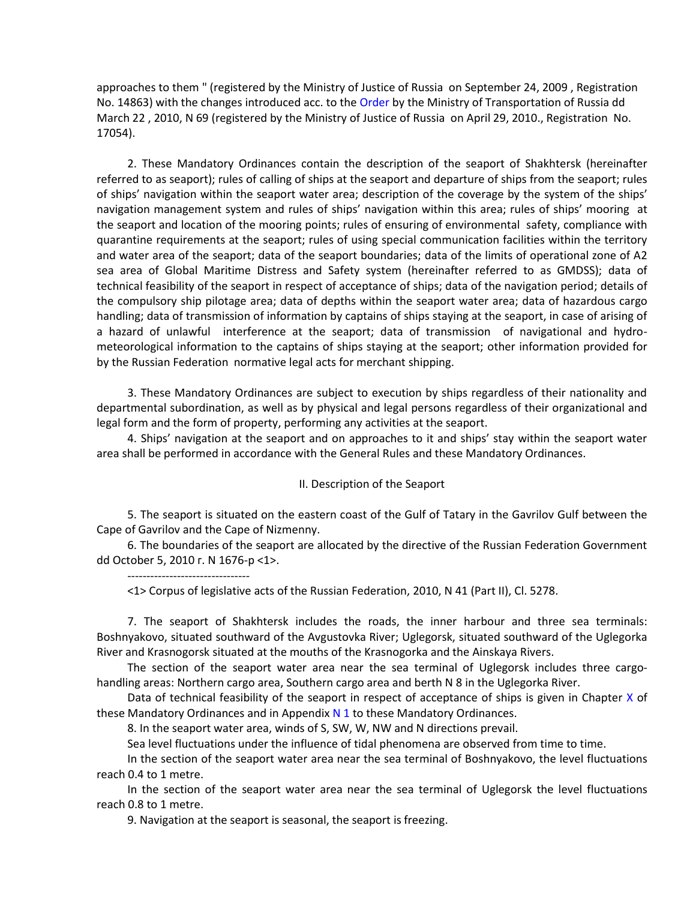approaches to them " (registered by the Ministry of Justice of Russia on September 24, 2009 , Registration No. 14863) with the changes introduced acc. to th[e Order](consultantplus://offline/ref=6FCCD57E313D281E5414E7EC2FE8CBCCD22D051AEAB96D7B7AA89EDC30aAB4G) by the Ministry of Transportation of Russia dd March 22 , 2010, N 69 (registered by the Ministry of Justice of Russia on April 29, 2010., Registration No. 17054).

2. These Mandatory Ordinances contain the description of the seaport of Shakhtersk (hereinafter referred to as seaport); rules of calling of ships at the seaport and departure of ships from the seaport; rules of ships' navigation within the seaport water area; description of the coverage by the system of the ships' navigation management system and rules of ships' navigation within this area; rules of ships' mooring at the seaport and location of the mooring points; rules of ensuring of environmental safety, compliance with quarantine requirements at the seaport; rules of using special communication facilities within the territory and water area of the seaport; data of the seaport boundaries; data of the limits of operational zone of A2 sea area of Global Maritime Distress and Safety system (hereinafter referred to as GMDSS); data of technical feasibility of the seaport in respect of acceptance of ships; data of the navigation period; details of the compulsory ship pilotage area; data of depths within the seaport water area; data of hazardous cargo handling; data of transmission of information by captains of ships staying at the seaport, in case of arising of a hazard of unlawful interference at the seaport; data of transmission of navigational and hydrometeorological information to the captains of ships staying at the seaport; other information provided for by the Russian Federation normative legal acts for merchant shipping.

3. These Mandatory Ordinances are subject to execution by ships regardless of their nationality and departmental subordination, as well as by physical and legal persons regardless of their organizational and legal form and the form of property, performing any activities at the seaport.

4. Ships' navigation at the seaport and on approaches to it and ships' stay within the seaport water area shall be performed in accordance with the General Rules and these Mandatory Ordinances.

### II. Description of the Seaport

5. The seaport is situated on the eastern coast of the Gulf of Tatary in the Gavrilov Gulf between the Cape of Gavrilov and the Cape of Nizmenny.

6. The boundaries of the seaport are allocated by the directive of the Russian Federation Government dd October 5, 2010 г. N 1676-р <1>.

--------------------------------

<1> Corpus of legislative acts of the Russian Federation, 2010, N 41 (Part II), Cl. 5278.

7. The seaport of Shakhtersk includes the roads, the inner harbour and three sea terminals: Boshnyakovo, situated southward of the Avgustovka River; Uglegorsk, situated southward of the Uglegorka River and Krasnogorsk situated at the mouths of the Krasnogorka and the Ainskaya Rivers.

The section of the seaport water area near the sea terminal of Uglegorsk includes three cargohandling areas: Northern cargo area, Southern cargo area and berth N 8 in the Uglegorka River.

Data of technical feasibility of the seaport in respect of acceptance of ships is given in Chapter  $X$  of these Mandatory Ordinances and in Appendix N 1 to these Mandatory Ordinances.

8. In the seaport water area, winds of S, SW, W, NW and N directions prevail.

Sea level fluctuations under the influence of tidal phenomena are observed from time to time.

In the section of the seaport water area near the sea terminal of Boshnyakovo, the level fluctuations reach 0.4 to 1 metre.

In the section of the seaport water area near the sea terminal of Uglegorsk the level fluctuations reach 0.8 to 1 metre.

9. Navigation at the seaport is seasonal, the seaport is freezing.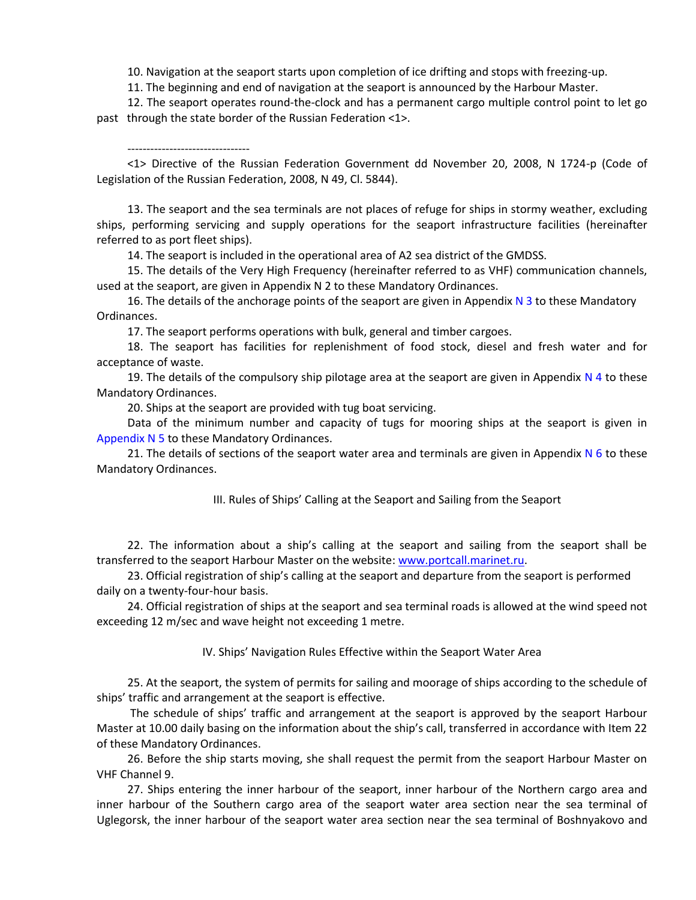10. Navigation at the seaport starts upon completion of ice drifting and stops with freezing-up.

11. The beginning and end of navigation at the seaport is announced by the Harbour Master.

12. The seaport operates round-the-clock and has a permanent cargo multiple control point to let go past through the state border of the Russian Federation <1>.

<1> Directive of the Russian Federation Government dd November 20, 2008, N 1724-р (Code of Legislation of the Russian Federation, 2008, N 49, Cl. 5844).

13. The seaport and the sea terminals are not places of refuge for ships in stormy weather, excluding ships, performing servicing and supply operations for the seaport infrastructure facilities (hereinafter referred to as port fleet ships).

14. The seaport is included in the operational area of А2 sea district of the GMDSS.

15. The details of the Very High Frequency (hereinafter referred to as VHF) communication channels, used at the seaport, are given in Appendix N 2 to these Mandatory Ordinances.

16. The details of the anchorage points of the seaport are given in Appendix  $N$  3 to these Mandatory Ordinances.

17. The seaport performs operations with bulk, general and timber cargoes.

18. The seaport has facilities for replenishment of food stock, diesel and fresh water and for acceptance of waste.

19. The details of the compulsory ship pilotage area at the seaport are given in Appendix  $N$  4 to these Mandatory Ordinances.

20. Ships at the seaport are provided with tug boat servicing.

--------------------------------

Data of the minimum number and capacity of tugs for mooring ships at the seaport is given in Appendix N 5 to these Mandatory Ordinances.

21. The details of sections of the seaport water area and terminals are given in Appendix  $N$  6 to these Mandatory Ordinances.

III. Rules of Ships' Calling at the Seaport and Sailing from the Seaport

22. The information about a ship's calling at the seaport and sailing from the seaport shall be transferred to the seaport Harbour Master on the website[: www.portcall.marinet.ru.](../../../../../AppData/Local/Temp/www.portcall.marinet.ru)

23. Official registration of ship's calling at the seaport and departure from the seaport is performed daily on a twenty-four-hour basis.

24. Official registration of ships at the seaport and sea terminal roads is allowed at the wind speed not exceeding 12 m/sec and wave height not exceeding 1 metre.

IV. Ships' Navigation Rules Effective within the Seaport Water Area

25. At the seaport, the system of permits for sailing and moorage of ships according to the schedule of ships' traffic and arrangement at the seaport is effective.

The schedule of ships' traffic and arrangement at the seaport is approved by the seaport Harbour Master at 10.00 daily basing on the information about the ship's call, transferred in accordance with Item 22 of these Mandatory Ordinances.

26. Before the ship starts moving, she shall request the permit from the seaport Harbour Master on VHF Channel 9.

27. Ships entering the inner harbour of the seaport, inner harbour of the Northern cargo area and inner harbour of the Southern cargo area of the seaport water area section near the sea terminal of Uglegorsk, the inner harbour of the seaport water area section near the sea terminal of Boshnyakovo and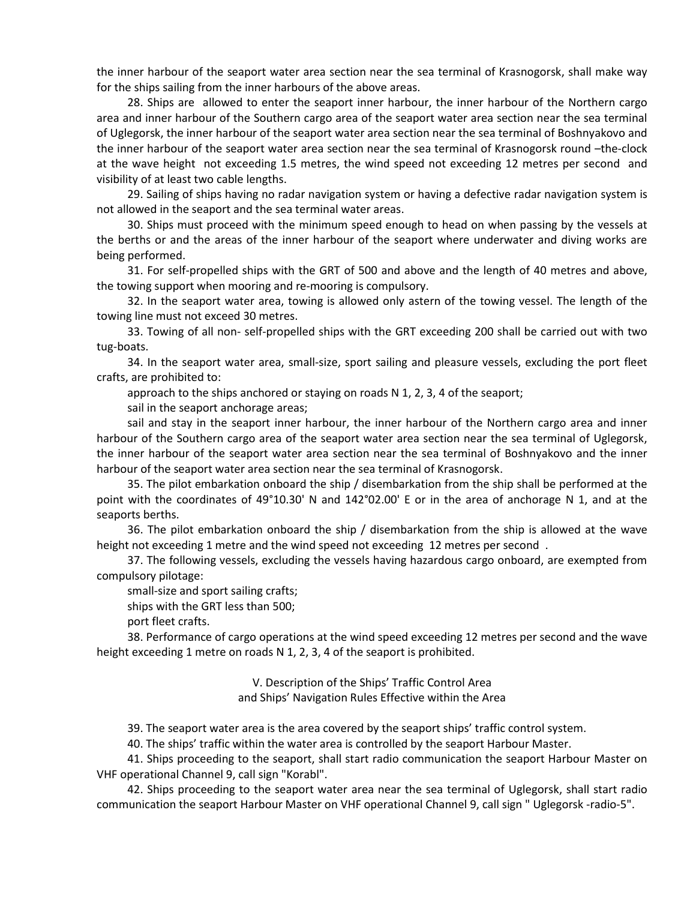the inner harbour of the seaport water area section near the sea terminal of Krasnogorsk, shall make way for the ships sailing from the inner harbours of the above areas.

28. Ships are allowed to enter the seaport inner harbour, the inner harbour of the Northern cargo area and inner harbour of the Southern cargo area of the seaport water area section near the sea terminal of Uglegorsk, the inner harbour of the seaport water area section near the sea terminal of Boshnyakovo and the inner harbour of the seaport water area section near the sea terminal of Krasnogorsk round –the-clock at the wave height not exceeding 1.5 metres, the wind speed not exceeding 12 metres per second and visibility of at least two cable lengths.

29. Sailing of ships having no radar navigation system or having a defective radar navigation system is not allowed in the seaport and the sea terminal water areas.

30. Ships must proceed with the minimum speed enough to head on when passing by the vessels at the berths or and the areas of the inner harbour of the seaport where underwater and diving works are being performed.

31. For self-propelled ships with the GRT of 500 and above and the length of 40 metres and above, the towing support when mooring and re-mooring is compulsory.

32. In the seaport water area, towing is allowed only astern of the towing vessel. The length of the towing line must not exceed 30 metres.

33. Towing of all non- self-propelled ships with the GRT exceeding 200 shall be carried out with two tug-boats.

34. In the seaport water area, small-size, sport sailing and pleasure vessels, excluding the port fleet crafts, are prohibited to:

approach to the ships anchored or staying on roads N 1, 2, 3, 4 of the seaport;

sail in the seaport anchorage areas;

sail and stay in the seaport inner harbour, the inner harbour of the Northern cargo area and inner harbour of the Southern cargo area of the seaport water area section near the sea terminal of Uglegorsk, the inner harbour of the seaport water area section near the sea terminal of Boshnyakovo and the inner harbour of the seaport water area section near the sea terminal of Krasnogorsk.

35. The pilot embarkation onboard the ship / disembarkation from the ship shall be performed at the point with the coordinates of 49°10.30' N and 142°02.00' E or in the area of anchorage N 1, and at the seaports berths.

36. The pilot embarkation onboard the ship / disembarkation from the ship is allowed at the wave height not exceeding 1 metre and the wind speed not exceeding 12 metres per second .

37. The following vessels, excluding the vessels having hazardous cargo onboard, are exempted from compulsory pilotage:

small-size and sport sailing crafts;

ships with the GRT less than 500;

port fleet crafts.

38. Performance of cargo operations at the wind speed exceeding 12 metres per second and the wave height exceeding 1 metre on roads N 1, 2, 3, 4 of the seaport is prohibited.

> V. Description of the Ships' Traffic Control Area and Ships' Navigation Rules Effective within the Area

39. The seaport water area is the area covered by the seaport ships' traffic control system.

40. The ships' traffic within the water area is controlled by the seaport Harbour Master.

41. Ships proceeding to the seaport, shall start radio communication the seaport Harbour Master on VHF operational Channel 9, call sign "Korabl".

42. Ships proceeding to the seaport water area near the sea terminal of Uglegorsk, shall start radio communication the seaport Harbour Master on VHF operational Channel 9, call sign " Uglegorsk -radio-5".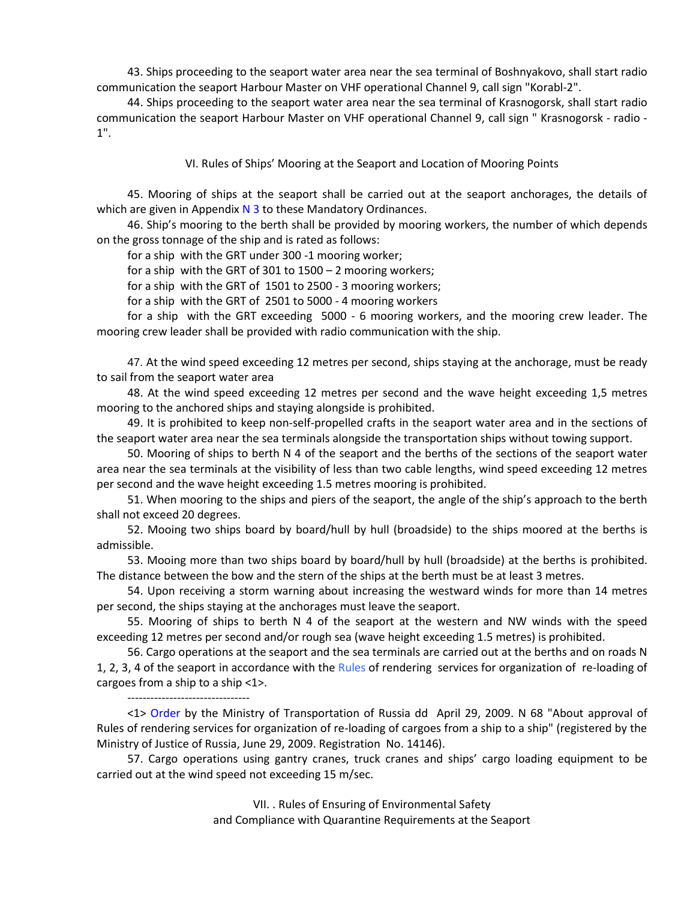43. Ships proceeding to the seaport water area near the sea terminal of Boshnyakovo, shall start radio communication the seaport Harbour Master on VHF operational Channel 9, call sign "Korabl-2".

44. Ships proceeding to the seaport water area near the sea terminal of Krasnogorsk, shall start radio communication the seaport Harbour Master on VHF operational Channel 9, call sign " Krasnogorsk - radio - 1".

VI. Rules of Ships' Mooring at the Seaport and Location of Mooring Points

45. Mooring of ships at the seaport shall be carried out at the seaport anchorages, the details of which are given in Appendix  $N$  3 to these Mandatory Ordinances.

46. Ship's mooring to the berth shall be provided by mooring workers, the number of which depends on the gross tonnage of the ship and is rated as follows:

for a ship with the GRT under 300 -1 mooring worker;

for a ship with the GRT of 301 to 1500 – 2 mooring workers;

for a ship with the GRT of 1501 to 2500 - 3 mooring workers;

for a ship with the GRT of 2501 to 5000 - 4 mooring workers

for a ship with the GRT exceeding 5000 - 6 mooring workers, and the mooring crew leader. The mooring crew leader shall be provided with radio communication with the ship.

47. At the wind speed exceeding 12 metres per second, ships staying at the anchorage, must be ready to sail from the seaport water area

48. At the wind speed exceeding 12 metres per second and the wave height exceeding 1,5 metres mooring to the anchored ships and staying alongside is prohibited.

49. It is prohibited to keep non-self-propelled crafts in the seaport water area and in the sections of the seaport water area near the sea terminals alongside the transportation ships without towing support.

50. Mooring of ships to berth N 4 of the seaport and the berths of the sections of the seaport water area near the sea terminals at the visibility of less than two cable lengths, wind speed exceeding 12 metres per second and the wave height exceeding 1.5 metres mooring is prohibited.

51. When mooring to the ships and piers of the seaport, the angle of the ship's approach to the berth shall not exceed 20 degrees.

52. Mooing two ships board by board/hull by hull (broadside) to the ships moored at the berths is admissible.

53. Mooing more than two ships board by board/hull by hull (broadside) at the berths is prohibited. The distance between the bow and the stern of the ships at the berth must be at least 3 metres.

54. Upon receiving a storm warning about increasing the westward winds for more than 14 metres per second, the ships staying at the anchorages must leave the seaport.

55. Mooring of ships to berth N 4 of the seaport at the western and NW winds with the speed exceeding 12 metres per second and/or rough sea (wave height exceeding 1.5 metres) is prohibited.

56. Cargo operations at the seaport and the sea terminals are carried out at the berths and on roads N 1, 2, 3, 4 of the seaport in accordance with the Rules of rendering services for organization of re-loading of cargoes from a ship to a ship <1>.

--------------------------------

<1> [Order](consultantplus://offline/ref=6FCCD57E313D281E5414E7EC2FE8CBCCD22D051AEAB96D7B7AA89EDC30aAB4G) by the Ministry of Transportation of Russia dd April 29, 2009. N 68 "About approval of Rules of rendering services for organization of re-loading of cargoes from a ship to a ship" (registered by the Ministry of Justice of Russia, June 29, 2009. Registration No. 14146).

57. Cargo operations using gantry cranes, truck cranes and ships' cargo loading equipment to be carried out at the wind speed not exceeding 15 m/sec.

> VII. . Rules of Ensuring of Environmental Safety and Compliance with Quarantine Requirements at the Seaport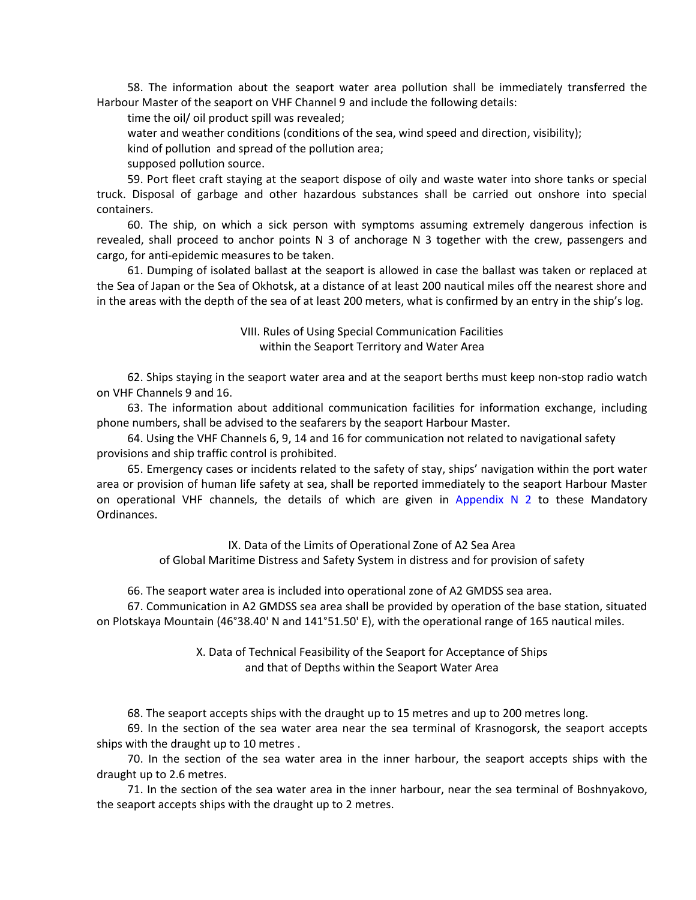58. The information about the seaport water area pollution shall be immediately transferred the Harbour Master of the seaport on VHF Channel 9 and include the following details:

time the oil/ oil product spill was revealed;

water and weather conditions (conditions of the sea, wind speed and direction, visibility);

kind of pollution and spread of the pollution area;

supposed pollution source.

59. Port fleet craft staying at the seaport dispose of oily and waste water into shore tanks or special truck. Disposal of garbage and other hazardous substances shall be carried out onshore into special containers.

60. The ship, on which a sick person with symptoms assuming extremely dangerous infection is revealed, shall proceed to anchor points N 3 of anchorage N 3 together with the crew, passengers and cargo, for anti-epidemic measures to be taken.

61. Dumping of isolated ballast at the seaport is allowed in case the ballast was taken or replaced at the Sea of Japan or the Sea of Okhotsk, at a distance of at least 200 nautical miles off the nearest shore and in the areas with the depth of the sea of at least 200 meters, what is confirmed by an entry in the ship's log.

> VIII. Rules of Using Special Communication Facilities within the Seaport Territory and Water Area

62. Ships staying in the seaport water area and at the seaport berths must keep non-stop radio watch on VHF Channels 9 and 16.

63. The information about additional communication facilities for information exchange, including phone numbers, shall be advised to the seafarers by the seaport Harbour Master.

64. Using the VHF Channels 6, 9, 14 and 16 for communication not related to navigational safety provisions and ship traffic control is prohibited.

65. Emergency cases or incidents related to the safety of stay, ships' navigation within the port water area or provision of human life safety at sea, shall be reported immediately to the seaport Harbour Master on operational VHF channels, the details of which are given in Appendix  $N$  2 to these Mandatory Ordinances.

> IX. Data of the Limits of Operational Zone of A2 Sea Area of Global Maritime Distress and Safety System in distress and for provision of safety

66. The seaport water area is included into operational zone of A2 GMDSS sea area.

67. Communication in A2 GMDSS sea area shall be provided by operation of the base station, situated on Plotskaya Mountain (46°38.40' N and 141°51.50' E), with the operational range of 165 nautical miles.

> X. Data of Technical Feasibility of the Seaport for Acceptance of Ships and that of Depths within the Seaport Water Area

68. The seaport accepts ships with the draught up to 15 metres and up to 200 metres long.

69. In the section of the sea water area near the sea terminal of Krasnogorsk, the seaport accepts ships with the draught up to 10 metres .

70. In the section of the sea water area in the inner harbour, the seaport accepts ships with the draught up to 2.6 metres.

71. In the section of the sea water area in the inner harbour, near the sea terminal of Boshnyakovo, the seaport accepts ships with the draught up to 2 metres.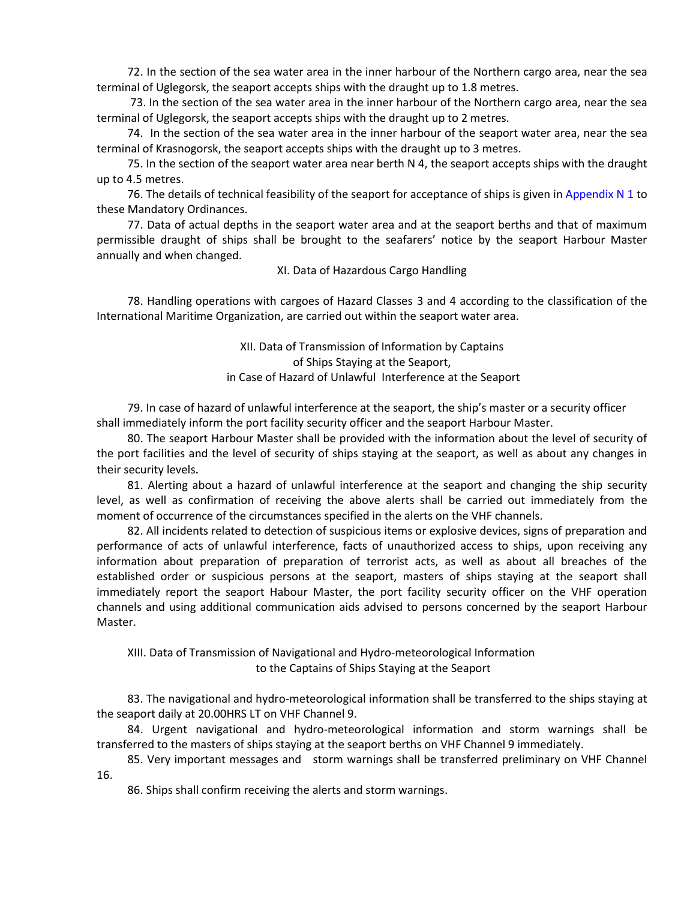72. In the section of the sea water area in the inner harbour of the Northern cargo area, near the sea terminal of Uglegorsk, the seaport accepts ships with the draught up to 1.8 metres.

73. In the section of the sea water area in the inner harbour of the Northern cargo area, near the sea terminal of Uglegorsk, the seaport accepts ships with the draught up to 2 metres.

74. In the section of the sea water area in the inner harbour of the seaport water area, near the sea terminal of Krasnogorsk, the seaport accepts ships with the draught up to 3 metres.

75. In the section of the seaport water area near berth N 4, the seaport accepts ships with the draught up to 4.5 metres.

76. The details of technical feasibility of the seaport for acceptance of ships is given in Appendix N 1 to these Mandatory Ordinances.

77. Data of actual depths in the seaport water area and at the seaport berths and that of maximum permissible draught of ships shall be brought to the seafarers' notice by the seaport Harbour Master annually and when changed.

XI. Data of Hazardous Cargo Handling

78. Handling operations with cargoes of Hazard Classes 3 and 4 according to the classification of the International Maritime Organization, are carried out within the seaport water area.

> XII. Data of Transmission of Information by Captains of Ships Staying at the Seaport, in Case of Hazard of Unlawful Interference at the Seaport

79. In case of hazard of unlawful interference at the seaport, the ship's master or a security officer shall immediately inform the port facility security officer and the seaport Harbour Master.

80. The seaport Harbour Master shall be provided with the information about the level of security of the port facilities and the level of security of ships staying at the seaport, as well as about any changes in their security levels.

81. Alerting about a hazard of unlawful interference at the seaport and changing the ship security level, as well as confirmation of receiving the above alerts shall be carried out immediately from the moment of occurrence of the circumstances specified in the alerts on the VHF channels.

82. All incidents related to detection of suspicious items or explosive devices, signs of preparation and performance of acts of unlawful interference, facts of unauthorized access to ships, upon receiving any information about preparation of preparation of terrorist acts, as well as about all breaches of the established order or suspicious persons at the seaport, masters of ships staying at the seaport shall immediately report the seaport Habour Master, the port facility security officer on the VHF operation channels and using additional communication aids advised to persons concerned by the seaport Harbour Master.

XIII. Data of Transmission of Navigational and Hydro-meteorological Information to the Captains of Ships Staying at the Seaport

83. The navigational and hydro-meteorological information shall be transferred to the ships staying at the seaport daily at 20.00HRS LT on VHF Channel 9.

84. Urgent navigational and hydro-meteorological information and storm warnings shall be transferred to the masters of ships staying at the seaport berths on VHF Channel 9 immediately.

85. Very important messages and storm warnings shall be transferred preliminary on VHF Channel 16.

86. Ships shall confirm receiving the alerts and storm warnings.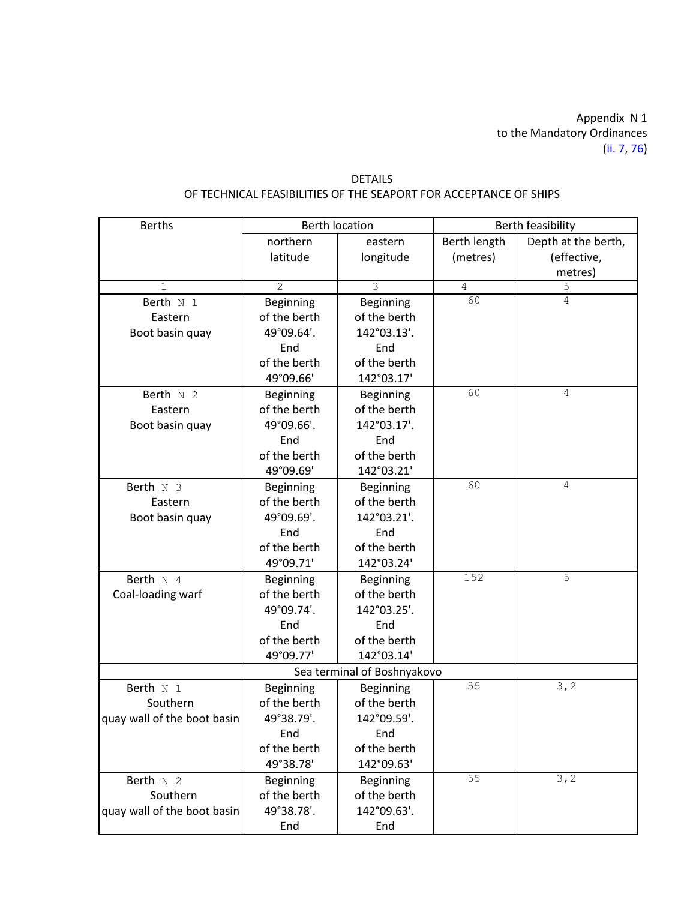Appendix N 1 to the Mandatory Ordinances (ii. 7, 76)

| <b>Berths</b>               |                  | <b>Berth location</b> |              | Berth feasibility   |
|-----------------------------|------------------|-----------------------|--------------|---------------------|
|                             | northern         | eastern               | Berth length | Depth at the berth, |
|                             | latitude         | longitude             | (metres)     | (effective,         |
|                             |                  |                       |              | metres)             |
| $\mathbf{1}$                | $\overline{2}$   | $\overline{3}$        | $\sqrt{4}$   | 5                   |
| Berth N 1                   | Beginning        | Beginning             | 60           | 4                   |
| Eastern                     | of the berth     | of the berth          |              |                     |
| Boot basin quay             | 49°09.64'.       | 142°03.13'.           |              |                     |
|                             | End              | End                   |              |                     |
|                             | of the berth     | of the berth          |              |                     |
|                             | 49°09.66'        | 142°03.17'            |              |                     |
| Berth N 2                   | Beginning        | Beginning             | 60           | 4                   |
| Eastern                     | of the berth     | of the berth          |              |                     |
| Boot basin quay             | 49°09.66'.       | 142°03.17'.           |              |                     |
|                             | End              | End                   |              |                     |
|                             | of the berth     | of the berth          |              |                     |
|                             | 49°09.69'        | 142°03.21'            |              |                     |
| Berth $N3$                  | <b>Beginning</b> | Beginning             | 60           | 4                   |
| Eastern                     | of the berth     | of the berth          |              |                     |
| Boot basin quay             | 49°09.69'.       | 142°03.21'.           |              |                     |
|                             | End              | End                   |              |                     |
|                             | of the berth     | of the berth          |              |                     |
|                             | 49°09.71'        | 142°03.24'            |              |                     |
| Berth N 4                   | Beginning        | Beginning             | 152          | 5                   |
| Coal-loading warf           | of the berth     | of the berth          |              |                     |
|                             | 49°09.74'.       | 142°03.25'.           |              |                     |
|                             | End              | End                   |              |                     |
|                             | of the berth     | of the berth          |              |                     |
|                             | 49°09.77'        | 142°03.14'            |              |                     |
| Sea terminal of Boshnyakovo |                  |                       |              |                     |
| Berth N 1                   | Beginning        | Beginning             | 55           | 3, 2                |
| Southern                    | of the berth     | of the berth          |              |                     |
| quay wall of the boot basin | 49°38.79'.       | 142°09.59'.           |              |                     |
|                             | End              | End                   |              |                     |
|                             | of the berth     | of the berth          |              |                     |
|                             | 49°38.78'        | 142°09.63'            |              |                     |
| Berth N 2                   | <b>Beginning</b> | Beginning             | 55           | 3, 2                |
| Southern                    | of the berth     | of the berth          |              |                     |
| quay wall of the boot basin | 49°38.78'.       | 142°09.63'.           |              |                     |
|                             | End              | End                   |              |                     |

# DETAILS OF TECHNICAL FEASIBILITIES OF THE SEAPORT FOR ACCEPTANCE OF SHIPS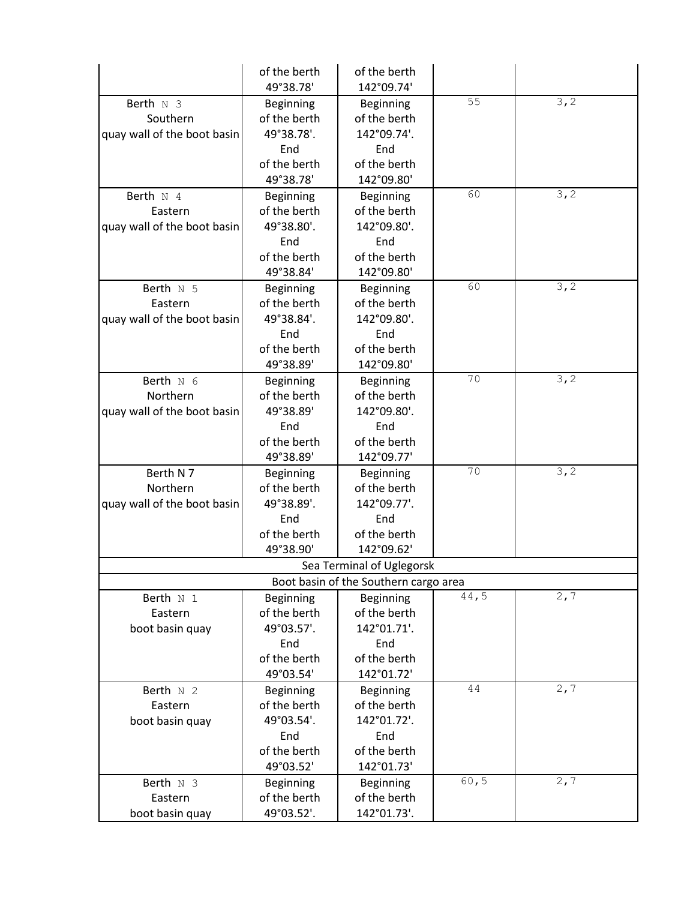|                                                      | of the berth<br>49°38.78'                      | of the berth<br>142°09.74'                      |       |      |
|------------------------------------------------------|------------------------------------------------|-------------------------------------------------|-------|------|
| Berth N 3<br>Southern<br>quay wall of the boot basin | Beginning<br>of the berth<br>49°38.78'.<br>End | Beginning<br>of the berth<br>142°09.74'.<br>End | 55    | 3, 2 |
|                                                      | of the berth<br>49°38.78'                      | of the berth<br>142°09.80'                      |       |      |
| Berth $N$ 4                                          | Beginning                                      | Beginning                                       | 60    | 3, 2 |
| Eastern                                              | of the berth                                   | of the berth                                    |       |      |
| quay wall of the boot basin                          | 49°38.80'.                                     | 142°09.80'.                                     |       |      |
|                                                      | End                                            | End                                             |       |      |
|                                                      | of the berth                                   | of the berth                                    |       |      |
|                                                      | 49°38.84'                                      | 142°09.80'                                      |       |      |
| Berth N 5                                            | Beginning                                      | Beginning                                       | 60    | 3, 2 |
| Eastern                                              | of the berth                                   | of the berth                                    |       |      |
| quay wall of the boot basin                          | 49°38.84'.                                     | 142°09.80'.                                     |       |      |
|                                                      | End                                            | End                                             |       |      |
|                                                      | of the berth                                   | of the berth                                    |       |      |
|                                                      | 49°38.89'                                      | 142°09.80'                                      |       |      |
| Berth $N$ 6                                          | <b>Beginning</b>                               | <b>Beginning</b>                                | 70    | 3, 2 |
| Northern                                             | of the berth                                   | of the berth                                    |       |      |
| quay wall of the boot basin                          | 49°38.89'                                      | 142°09.80'.                                     |       |      |
|                                                      | End                                            | End                                             |       |      |
|                                                      | of the berth                                   | of the berth                                    |       |      |
|                                                      | 49°38.89'                                      | 142°09.77'                                      |       |      |
| Berth N7                                             | <b>Beginning</b>                               | <b>Beginning</b>                                | 70    | 3, 2 |
| Northern                                             | of the berth                                   | of the berth                                    |       |      |
| quay wall of the boot basin                          | 49°38.89'.                                     | 142°09.77'.                                     |       |      |
|                                                      | End                                            | End                                             |       |      |
|                                                      | of the berth                                   | of the berth                                    |       |      |
|                                                      | 49°38.90'                                      | 142°09.62'                                      |       |      |
|                                                      |                                                | Sea Terminal of Uglegorsk                       |       |      |
|                                                      |                                                | Boot basin of the Southern cargo area           |       |      |
| Berth N 1                                            | Beginning                                      | Beginning                                       | 44,5  | 2, 7 |
| Eastern                                              | of the berth                                   | of the berth                                    |       |      |
| boot basin quay                                      | 49°03.57'.                                     | 142°01.71'.                                     |       |      |
|                                                      | End                                            | End                                             |       |      |
|                                                      | of the berth                                   | of the berth                                    |       |      |
|                                                      | 49°03.54'                                      | 142°01.72'                                      |       |      |
|                                                      |                                                |                                                 | 44    | 2, 7 |
| Berth $N2$                                           | Beginning                                      | Beginning                                       |       |      |
| Eastern                                              | of the berth<br>49°03.54'.                     | of the berth<br>142°01.72'.                     |       |      |
| boot basin quay                                      |                                                |                                                 |       |      |
|                                                      | End<br>of the berth                            | End<br>of the berth                             |       |      |
|                                                      |                                                |                                                 |       |      |
|                                                      | 49°03.52'                                      | 142°01.73'                                      | 60, 5 |      |
| Berth N 3                                            | Beginning                                      | Beginning                                       |       | 2, 7 |
| Eastern                                              | of the berth                                   | of the berth                                    |       |      |
| boot basin quay                                      | 49°03.52'.                                     | 142°01.73'.                                     |       |      |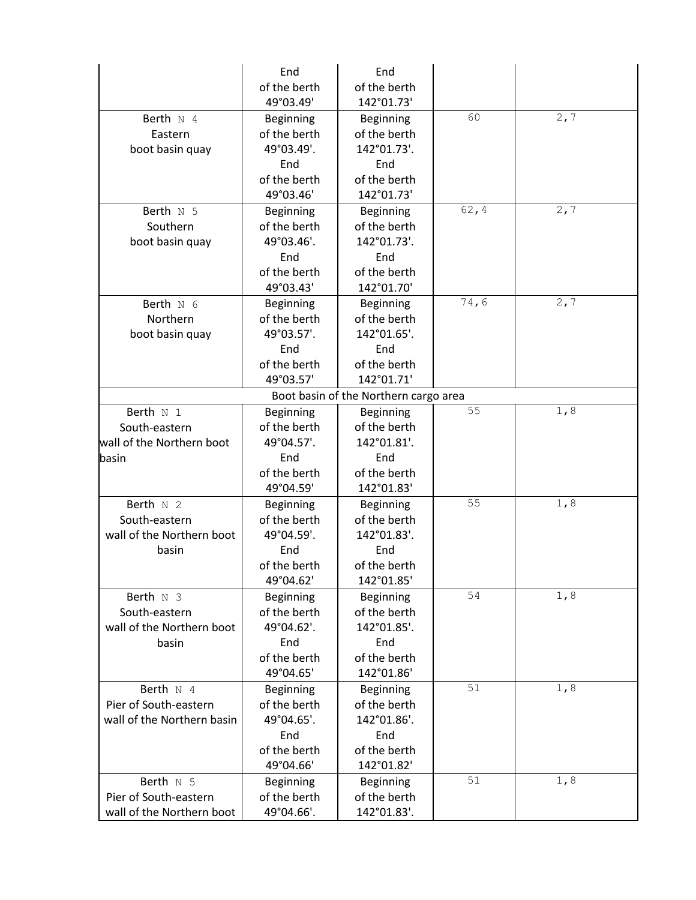|                            | End              | End                                   |        |      |
|----------------------------|------------------|---------------------------------------|--------|------|
|                            | of the berth     | of the berth                          |        |      |
|                            | 49°03.49'        | 142°01.73'                            |        |      |
| Berth $N$ 4                | <b>Beginning</b> | <b>Beginning</b>                      | 60     | 2, 7 |
| Eastern                    | of the berth     | of the berth                          |        |      |
| boot basin quay            | 49°03.49'.       | 142°01.73'.                           |        |      |
|                            | End              | End                                   |        |      |
|                            | of the berth     | of the berth                          |        |      |
|                            | 49°03.46'        | 142°01.73'                            |        |      |
| Berth $N$ 5                | Beginning        | <b>Beginning</b>                      | 62, 4  | 2, 7 |
| Southern                   | of the berth     | of the berth                          |        |      |
| boot basin quay            | 49°03.46'.       | 142°01.73'.                           |        |      |
|                            | End              | End                                   |        |      |
|                            | of the berth     | of the berth                          |        |      |
|                            | 49°03.43'        | 142°01.70'                            |        |      |
| Berth $N$ 6                | Beginning        | <b>Beginning</b>                      | 74,6   | 2,7  |
| Northern                   | of the berth     | of the berth                          |        |      |
| boot basin quay            | 49°03.57'.       | 142°01.65'.                           |        |      |
|                            | End              | End                                   |        |      |
|                            | of the berth     | of the berth                          |        |      |
|                            | 49°03.57'        | 142°01.71'                            |        |      |
|                            |                  |                                       |        |      |
|                            |                  | Boot basin of the Northern cargo area | 55     | 1,8  |
| Berth N 1                  | Beginning        | <b>Beginning</b>                      |        |      |
| South-eastern              | of the berth     | of the berth                          |        |      |
| wall of the Northern boot  | 49°04.57'.       | 142°01.81'.                           |        |      |
| basin                      | End              | End                                   |        |      |
|                            | of the berth     | of the berth                          |        |      |
|                            | 49°04.59'        | 142°01.83'                            |        |      |
| Berth $N2$                 | <b>Beginning</b> | <b>Beginning</b>                      | 55     | 1,8  |
| South-eastern              | of the berth     | of the berth                          |        |      |
| wall of the Northern boot  | 49°04.59'.       | 142°01.83'.                           |        |      |
| basin                      | End              | End                                   |        |      |
|                            | of the berth     | of the berth                          |        |      |
|                            | 49°04.62'        | 142°01.85'                            |        |      |
| Berth N 3                  | <b>Beginning</b> | Beginning                             | 54     | 1, 8 |
| South-eastern              | of the berth     | of the berth                          |        |      |
| wall of the Northern boot  | 49°04.62'.       | 142°01.85'.                           |        |      |
| basin                      | End              | End                                   |        |      |
|                            | of the berth     | of the berth                          |        |      |
|                            | 49°04.65'        | 142°01.86'                            |        |      |
| Berth N 4                  | Beginning        | Beginning                             | 51     | 1,8  |
| Pier of South-eastern      | of the berth     | of the berth                          |        |      |
| wall of the Northern basin | 49°04.65'.       | 142°01.86'.                           |        |      |
|                            | End              | End                                   |        |      |
|                            | of the berth     | of the berth                          |        |      |
|                            | 49°04.66'        | 142°01.82'                            |        |      |
| Berth N 5                  | Beginning        | <b>Beginning</b>                      | $51\,$ | 1,8  |
| Pier of South-eastern      | of the berth     | of the berth                          |        |      |
| wall of the Northern boot  | 49°04.66'.       | 142°01.83'.                           |        |      |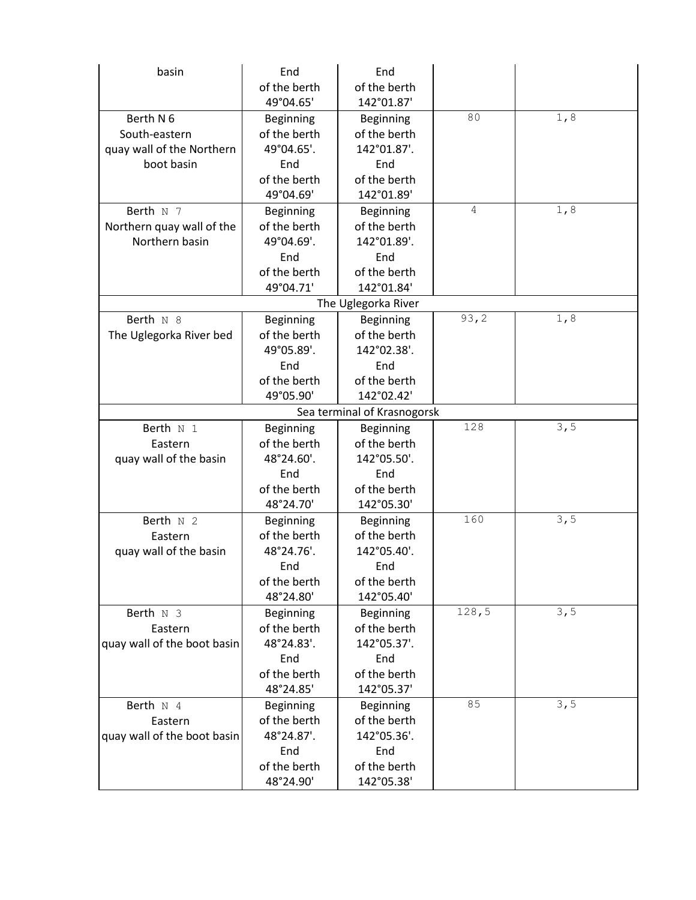| basin                       | End              | End                 |       |      |  |
|-----------------------------|------------------|---------------------|-------|------|--|
|                             | of the berth     | of the berth        |       |      |  |
|                             | 49°04.65'        | 142°01.87'          |       |      |  |
| Berth N 6                   | <b>Beginning</b> | Beginning           | 80    | 1,8  |  |
| South-eastern               | of the berth     | of the berth        |       |      |  |
| quay wall of the Northern   | 49°04.65'.       | 142°01.87'.         |       |      |  |
| boot basin                  | End              | End                 |       |      |  |
|                             | of the berth     | of the berth        |       |      |  |
|                             | 49°04.69'        | 142°01.89'          |       |      |  |
| Berth N 7                   | Beginning        | <b>Beginning</b>    | 4     | 1, 8 |  |
| Northern quay wall of the   | of the berth     | of the berth        |       |      |  |
| Northern basin              | 49°04.69'.       | 142°01.89'.         |       |      |  |
|                             | End              | End                 |       |      |  |
|                             | of the berth     | of the berth        |       |      |  |
|                             | 49°04.71'        | 142°01.84'          |       |      |  |
|                             |                  | The Uglegorka River |       |      |  |
| Berth N 8                   | <b>Beginning</b> | <b>Beginning</b>    | 93, 2 | 1, 8 |  |
| The Uglegorka River bed     | of the berth     | of the berth        |       |      |  |
|                             | 49°05.89'.       | 142°02.38'.         |       |      |  |
|                             | End              | End                 |       |      |  |
|                             | of the berth     | of the berth        |       |      |  |
|                             | 49°05.90'        | 142°02.42'          |       |      |  |
| Sea terminal of Krasnogorsk |                  |                     |       |      |  |
| Berth N 1                   | Beginning        | <b>Beginning</b>    | 128   | 3, 5 |  |
| Eastern                     | of the berth     | of the berth        |       |      |  |
| quay wall of the basin      | 48°24.60'.       | 142°05.50'.         |       |      |  |
|                             | End              | End                 |       |      |  |
|                             | of the berth     | of the berth        |       |      |  |
|                             | 48°24.70'        | 142°05.30'          |       |      |  |
| Berth N 2                   | <b>Beginning</b> | Beginning           | 160   | 3, 5 |  |
| Eastern                     | of the berth     | of the berth        |       |      |  |
| quay wall of the basin      | 48°24.76'.       | 142°05.40'.         |       |      |  |
|                             | End              | End                 |       |      |  |
|                             | of the berth     | of the berth        |       |      |  |
|                             | 48°24.80'        | 142°05.40'          |       |      |  |
| Berth N 3                   | Beginning        | <b>Beginning</b>    | 128,5 | 3, 5 |  |
| Eastern                     | of the berth     | of the berth        |       |      |  |
| quay wall of the boot basin | 48°24.83'.       | 142°05.37'.         |       |      |  |
|                             | End              | End                 |       |      |  |
|                             | of the berth     | of the berth        |       |      |  |
|                             | 48°24.85'        | 142°05.37'          |       |      |  |
| Berth $N$ 4                 | Beginning        | <b>Beginning</b>    | 85    | 3, 5 |  |
| Eastern                     | of the berth     | of the berth        |       |      |  |
| quay wall of the boot basin | 48°24.87'.       | 142°05.36'.         |       |      |  |
|                             | End              | End                 |       |      |  |
|                             | of the berth     | of the berth        |       |      |  |
|                             | 48°24.90'        | 142°05.38'          |       |      |  |
|                             |                  |                     |       |      |  |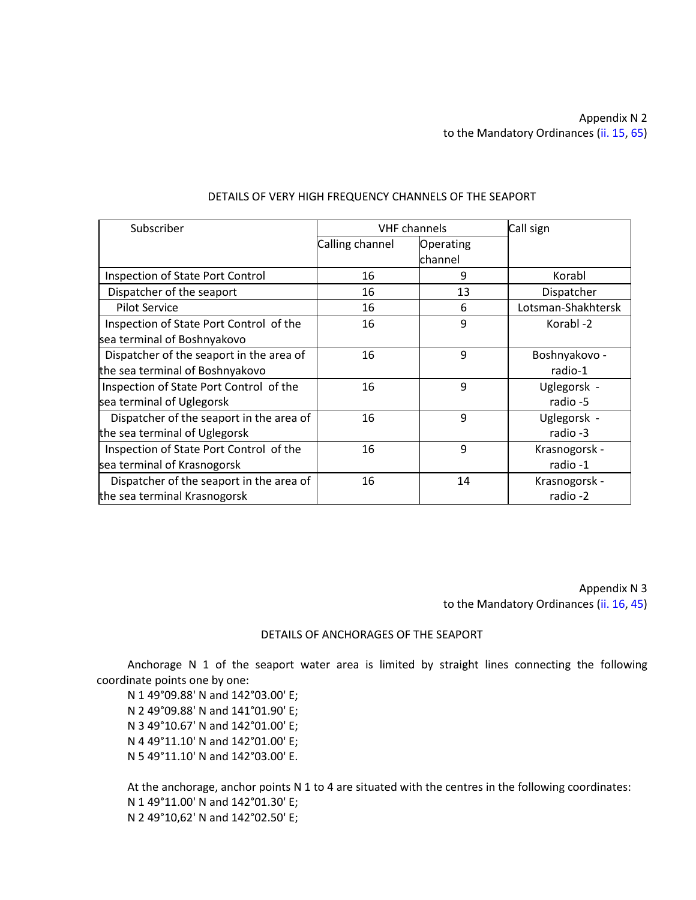# Appendix N 2 to the Mandatory Ordinances (ii. 15, 65)

| Subscriber                               | <b>VHF</b> channels |           | Call sign          |
|------------------------------------------|---------------------|-----------|--------------------|
|                                          | Calling channel     | Operating |                    |
|                                          |                     | channel   |                    |
| Inspection of State Port Control         | 16                  | 9         | Korabl             |
| Dispatcher of the seaport                | 16                  | 13        | Dispatcher         |
| <b>Pilot Service</b>                     | 16                  | 6         | Lotsman-Shakhtersk |
| Inspection of State Port Control of the  | 16                  | 9         | Korabl-2           |
| sea terminal of Boshnyakovo              |                     |           |                    |
| Dispatcher of the seaport in the area of | 16                  | 9         | Boshnyakovo -      |
| the sea terminal of Boshnyakovo          |                     |           | radio-1            |
| Inspection of State Port Control of the  | 16                  | 9         | Uglegorsk -        |
| sea terminal of Uglegorsk                |                     |           | radio -5           |
| Dispatcher of the seaport in the area of | 16                  | 9         | Uglegorsk -        |
| the sea terminal of Uglegorsk            |                     |           | radio -3           |
| Inspection of State Port Control of the  | 16                  | 9         | Krasnogorsk -      |
| sea terminal of Krasnogorsk              |                     |           | radio -1           |
| Dispatcher of the seaport in the area of | 16                  | 14        | Krasnogorsk -      |
| the sea terminal Krasnogorsk             |                     |           | radio -2           |

### DETAILS OF VERY HIGH FREQUENCY CHANNELS OF THE SEAPORT

Appendix N 3 to the Mandatory Ordinances (ii. 16, 45)

### DETAILS OF ANCHORAGES OF THE SEAPORT

Anchorage N 1 of the seaport water area is limited by straight lines connecting the following coordinate points one by one:

N 1 49°09.88' N and 142°03.00' E; N 2 49°09.88' N and 141°01.90' E; N 3 49°10.67' N and 142°01.00' E; N 4 49°11.10' N and 142°01.00' E; N 5 49°11.10' N and 142°03.00' E.

At the anchorage, anchor points N 1 to 4 are situated with the centres in the following coordinates: N 1 49°11.00' N and 142°01.30' E; N 2 49°10,62' N and 142°02.50' E;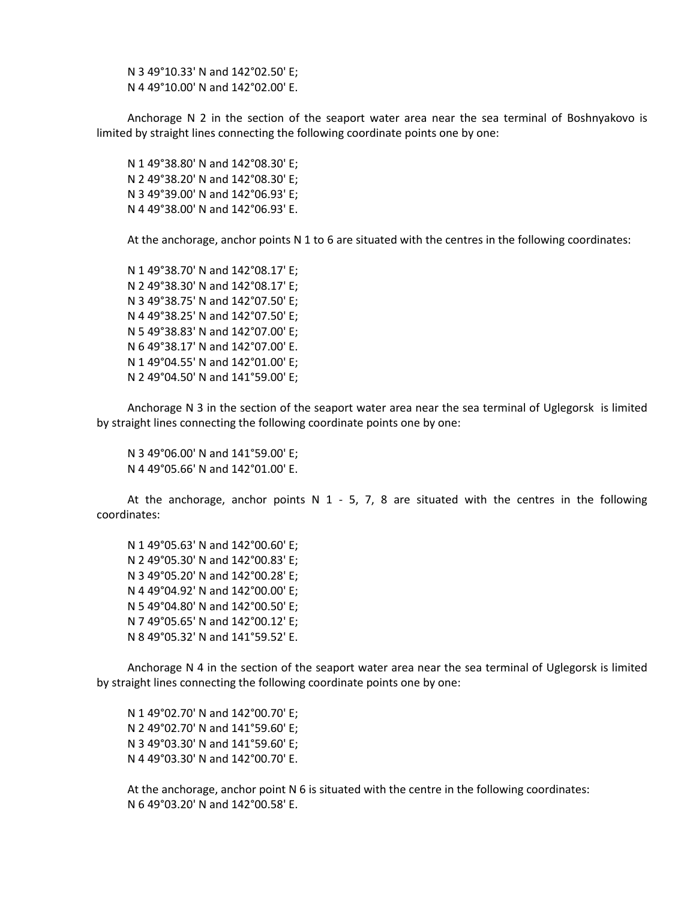N 3 49°10.33' N and 142°02.50' E; N 4 49°10.00' N and 142°02.00' E.

Anchorage N 2 in the section of the seaport water area near the sea terminal of Boshnyakovo is limited by straight lines connecting the following coordinate points one by one:

N 1 49°38.80' N and 142°08.30' E; N 2 49°38.20' N and 142°08.30' E; N 3 49°39.00' N and 142°06.93' E; N 4 49°38.00' N and 142°06.93' E.

At the anchorage, anchor points N 1 to 6 are situated with the centres in the following coordinates:

N 1 49°38.70' N and 142°08.17' E; N 2 49°38.30' N and 142°08.17' E; N 3 49°38.75' N and 142°07.50' E; N 4 49°38.25' N and 142°07.50' E; N 5 49°38.83' N and 142°07.00' E; N 6 49°38.17' N and 142°07.00' E. N 1 49°04.55' N and 142°01.00' E; N 2 49°04.50' N and 141°59.00' E;

Anchorage N 3 in the section of the seaport water area near the sea terminal of Uglegorsk is limited by straight lines connecting the following coordinate points one by one:

N 3 49°06.00' N and 141°59.00' E; N 4 49°05.66' N and 142°01.00' E.

At the anchorage, anchor points N  $1 - 5$ , 7, 8 are situated with the centres in the following coordinates:

N 1 49°05.63' N and 142°00.60' E; N 2 49°05.30' N and 142°00.83' E; N 3 49°05.20' N and 142°00.28' E; N 4 49°04.92' N and 142°00.00' E; N 5 49°04.80' N and 142°00.50' E; N 7 49°05.65' N and 142°00.12' E; N 8 49°05.32' N and 141°59.52' E.

Anchorage N 4 in the section of the seaport water area near the sea terminal of Uglegorsk is limited by straight lines connecting the following coordinate points one by one:

N 1 49°02.70' N and 142°00.70' E; N 2 49°02.70' N and 141°59.60' E; N 3 49°03.30' N and 141°59.60' E; N 4 49°03.30' N and 142°00.70' E.

At the anchorage, anchor point N 6 is situated with the centre in the following coordinates: N 6 49°03.20' N and 142°00.58' E.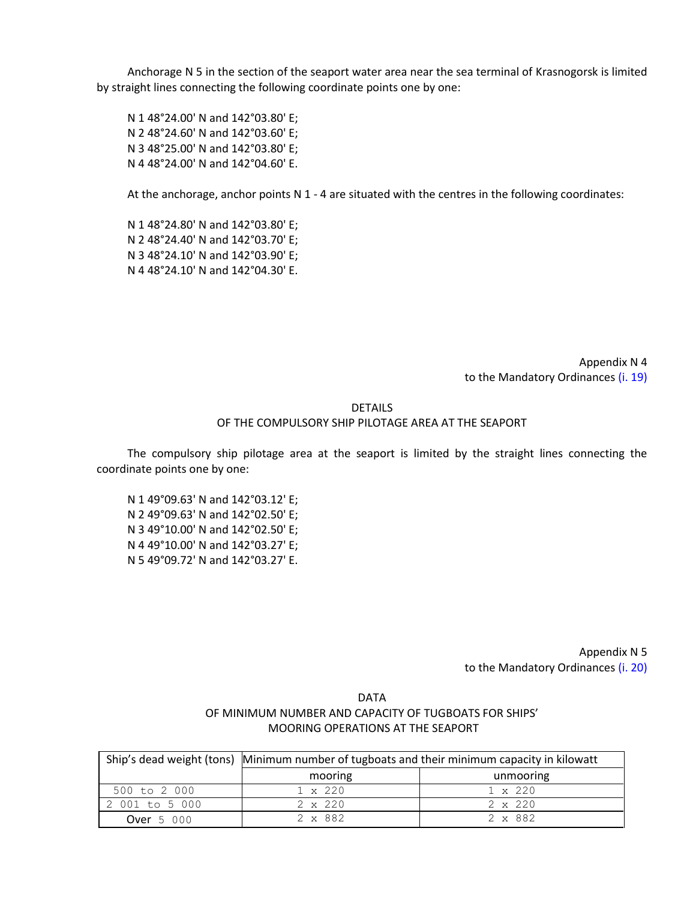Anchorage N 5 in the section of the seaport water area near the sea terminal of Krasnogorsk is limited by straight lines connecting the following coordinate points one by one:

N 1 48°24.00' N and 142°03.80' E; N 2 48°24.60' N and 142°03.60' E; N 3 48°25.00' N and 142°03.80' E; N 4 48°24.00' N and 142°04.60' E.

At the anchorage, anchor points N 1 - 4 are situated with the centres in the following coordinates:

N 1 48°24.80' N and 142°03.80' E; N 2 48°24.40' N and 142°03.70' E; N 3 48°24.10' N and 142°03.90' E; N 4 48°24.10' N and 142°04.30' E.

> Appendix N 4 to the Mandatory Ordinances (i. 19)

#### DETAILS

#### OF THE COMPULSORY SHIP PILOTAGE AREA AT THE SEAPORT

The compulsory ship pilotage area at the seaport is limited by the straight lines connecting the coordinate points one by one:

N 1 49°09.63' N and 142°03.12' E; N 2 49°09.63' N and 142°02.50' E; N 3 49°10.00' N and 142°02.50' E; N 4 49°10.00' N and 142°03.27' E; N 5 49°09.72' N and 142°03.27' E.

> Appendix N 5 to the Mandatory Ordinances (i. 20)

# DATA OF MINIMUM NUMBER AND CAPACITY OF TUGBOATS FOR SHIPS' MOORING OPERATIONS AT THE SEAPORT

|                   | Ship's dead weight (tons) Minimum number of tugboats and their minimum capacity in kilowatt |                |  |
|-------------------|---------------------------------------------------------------------------------------------|----------------|--|
|                   | mooring                                                                                     | unmooring      |  |
| 500 to 2 000      | $1 \times 220$                                                                              | $1 \times 220$ |  |
| 2 001 to 5 000    | $2 \times 220$                                                                              | $2 \times 220$ |  |
| <b>Over</b> 5 000 | 2 x 882                                                                                     | 2 x 882        |  |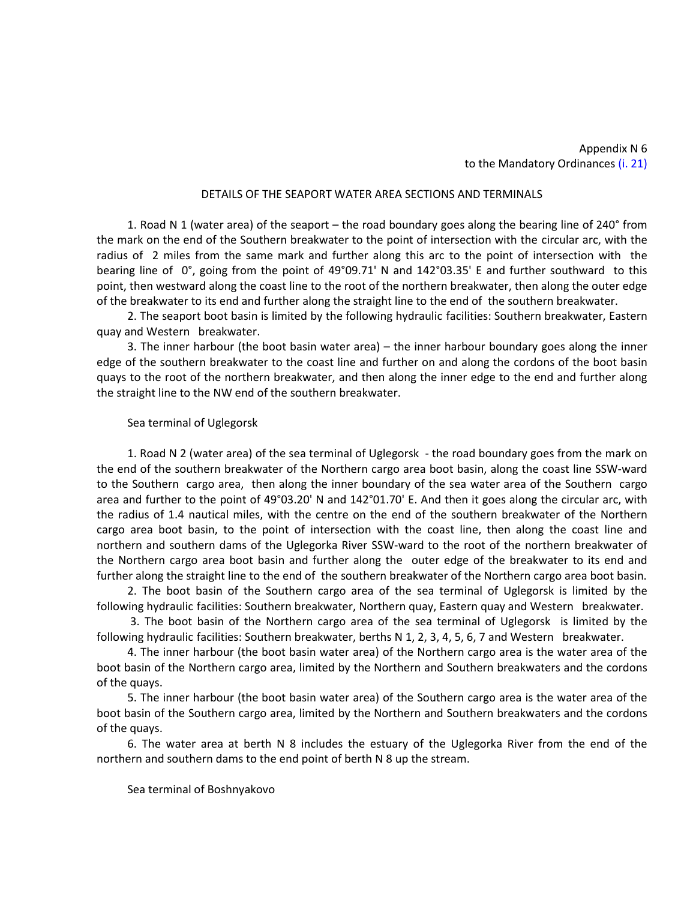## Appendix N 6 to the Mandatory Ordinances (i. 21)

#### DETAILS OF THE SEAPORT WATER AREA SECTIONS AND TERMINALS

1. Road N 1 (water area) of the seaport – the road boundary goes along the bearing line of 240° from the mark on the end of the Southern breakwater to the point of intersection with the circular arc, with the radius of 2 miles from the same mark and further along this arc to the point of intersection with the bearing line of 0°, going from the point of 49°09.71' N and 142°03.35' E and further southward to this point, then westward along the coast line to the root of the northern breakwater, then along the outer edge of the breakwater to its end and further along the straight line to the end of the southern breakwater.

2. The seaport boot basin is limited by the following hydraulic facilities: Southern breakwater, Eastern quay and Western breakwater.

3. The inner harbour (the boot basin water area) – the inner harbour boundary goes along the inner edge of the southern breakwater to the coast line and further on and along the cordons of the boot basin quays to the root of the northern breakwater, and then along the inner edge to the end and further along the straight line to the NW end of the southern breakwater.

#### Sea terminal of Uglegorsk

1. Road N 2 (water area) of the sea terminal of Uglegorsk - the road boundary goes from the mark on the end of the southern breakwater of the Northern cargo area boot basin, along the coast line SSW-ward to the Southern cargo area, then along the inner boundary of the sea water area of the Southern cargo area and further to the point of 49°03.20' N and 142°01.70' E. And then it goes along the circular arc, with the radius of 1.4 nautical miles, with the centre on the end of the southern breakwater of the Northern cargo area boot basin, to the point of intersection with the coast line, then along the coast line and northern and southern dams of the Uglegorka River SSW-ward to the root of the northern breakwater of the Northern cargo area boot basin and further along the outer edge of the breakwater to its end and further along the straight line to the end of the southern breakwater of the Northern cargo area boot basin.

2. The boot basin of the Southern cargo area of the sea terminal of Uglegorsk is limited by the following hydraulic facilities: Southern breakwater, Northern quay, Eastern quay and Western breakwater.

3. The boot basin of the Northern cargo area of the sea terminal of Uglegorsk is limited by the following hydraulic facilities: Southern breakwater, berths N 1, 2, 3, 4, 5, 6, 7 and Western breakwater.

4. The inner harbour (the boot basin water area) of the Northern cargo area is the water area of the boot basin of the Northern cargo area, limited by the Northern and Southern breakwaters and the cordons of the quays.

5. The inner harbour (the boot basin water area) of the Southern cargo area is the water area of the boot basin of the Southern cargo area, limited by the Northern and Southern breakwaters and the cordons of the quays.

6. The water area at berth N 8 includes the estuary of the Uglegorka River from the end of the northern and southern dams to the end point of berth N 8 up the stream.

Sea terminal of Boshnyakovo